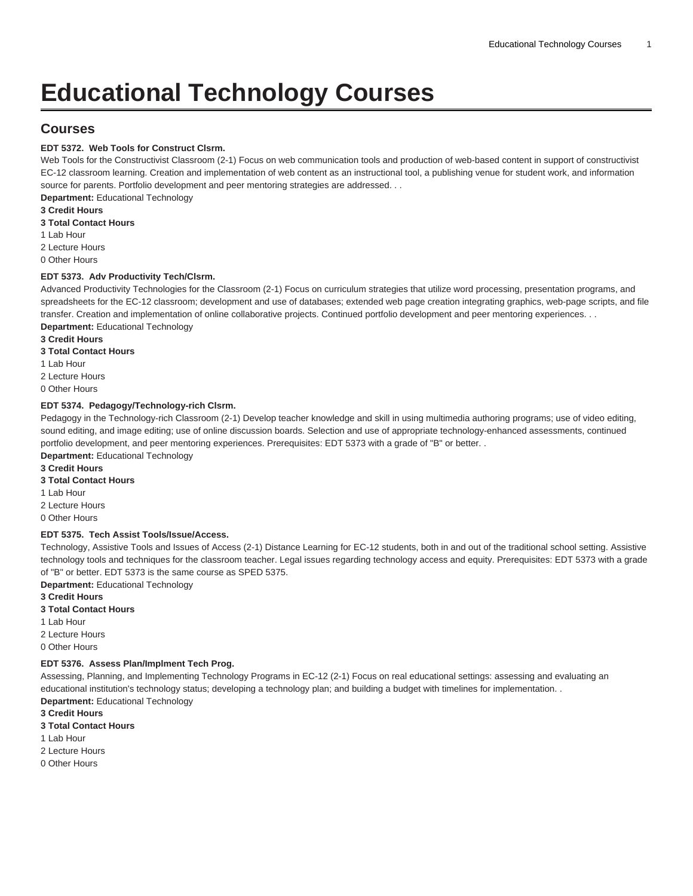# **Educational Technology Courses**

# **Courses**

### **EDT 5372. Web Tools for Construct Clsrm.**

Web Tools for the Constructivist Classroom (2-1) Focus on web communication tools and production of web-based content in support of constructivist EC-12 classroom learning. Creation and implementation of web content as an instructional tool, a publishing venue for student work, and information source for parents. Portfolio development and peer mentoring strategies are addressed. . .

**Department:** Educational Technology

#### **3 Credit Hours**

**3 Total Contact Hours**

- 1 Lab Hour
- 2 Lecture Hours

0 Other Hours

#### **EDT 5373. Adv Productivity Tech/Clsrm.**

Advanced Productivity Technologies for the Classroom (2-1) Focus on curriculum strategies that utilize word processing, presentation programs, and spreadsheets for the EC-12 classroom; development and use of databases; extended web page creation integrating graphics, web-page scripts, and file transfer. Creation and implementation of online collaborative projects. Continued portfolio development and peer mentoring experiences. . .

- **Department:** Educational Technology **3 Credit Hours**
- **3 Total Contact Hours**
- 1 Lab Hour
- 2 Lecture Hours
- 0 Other Hours

#### **EDT 5374. Pedagogy/Technology-rich Clsrm.**

Pedagogy in the Technology-rich Classroom (2-1) Develop teacher knowledge and skill in using multimedia authoring programs; use of video editing, sound editing, and image editing; use of online discussion boards. Selection and use of appropriate technology-enhanced assessments, continued portfolio development, and peer mentoring experiences. Prerequisites: [EDT 5373](/search/?P=EDT%205373) with a grade of "B" or better. .

**Department:** Educational Technology

- **3 Credit Hours**
- **3 Total Contact Hours**
- 1 Lab Hour
- 2 Lecture Hours
- 0 Other Hours

#### **EDT 5375. Tech Assist Tools/Issue/Access.**

Technology, Assistive Tools and Issues of Access (2-1) Distance Learning for EC-12 students, both in and out of the traditional school setting. Assistive technology tools and techniques for the classroom teacher. Legal issues regarding technology access and equity. Prerequisites: [EDT 5373](/search/?P=EDT%205373) with a grade of "B" or better. [EDT 5373](/search/?P=EDT%205373) is the same course as SPED 5375.

**Department:** Educational Technology

- **3 Credit Hours**
- **3 Total Contact Hours**
- 1 Lab Hour
- 2 Lecture Hours
- 0 Other Hours

#### **EDT 5376. Assess Plan/Implment Tech Prog.**

Assessing, Planning, and Implementing Technology Programs in EC-12 (2-1) Focus on real educational settings: assessing and evaluating an educational institution's technology status; developing a technology plan; and building a budget with timelines for implementation. . **Department:** Educational Technology

- **3 Credit Hours**
- **3 Total Contact Hours**
- 1 Lab Hour
- 2 Lecture Hours
- 0 Other Hours